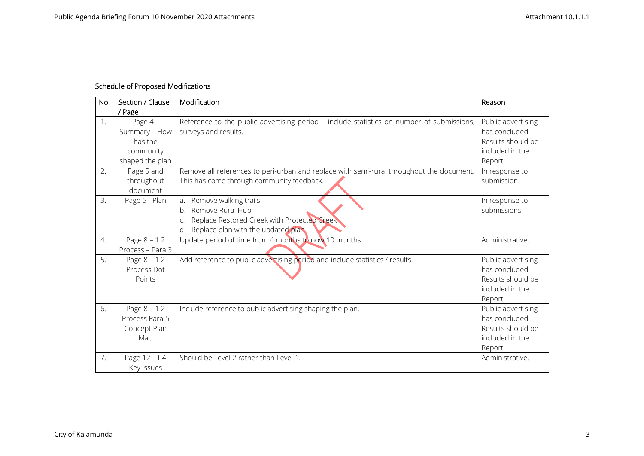## **Schedule of Proposed Modifications**

| No. | Section / Clause<br>/ Page                                          | Modification                                                                                                                                                       | Reason                                                                                  |
|-----|---------------------------------------------------------------------|--------------------------------------------------------------------------------------------------------------------------------------------------------------------|-----------------------------------------------------------------------------------------|
| 1.  | Page 4-<br>Summary - How<br>has the<br>community<br>shaped the plan | Reference to the public advertising period - include statistics on number of submissions,<br>surveys and results.                                                  | Public advertising<br>has concluded.<br>Results should be<br>included in the<br>Report. |
| 2.  | Page 5 and<br>throughout<br>document                                | Remove all references to peri-urban and replace with semi-rural throughout the document.<br>This has come through community feedback.                              | In response to<br>submission.                                                           |
| 3.  | Page 5 - Plan                                                       | Remove walking trails<br>a <sub>r</sub><br>Remove Rural Hub<br>b.<br>Replace Restored Creek with Protected Creek<br>C.<br>Replace plan with the updated plan<br>d. | In response to<br>submissions.                                                          |
| 4.  | Page $8 - 1.2$<br>Process - Para 3                                  | Update period of time from 4 months to now 10 months                                                                                                               | Administrative.                                                                         |
| 5.  | Page $8 - 1.2$<br>Process Dot<br>Points                             | Add reference to public advertising period and include statistics / results.                                                                                       | Public advertising<br>has concluded.<br>Results should be<br>included in the<br>Report. |
| 6.  | Page $8 - 1.2$<br>Process Para 5<br>Concept Plan<br>Map             | Include reference to public advertising shaping the plan.                                                                                                          | Public advertising<br>has concluded.<br>Results should be<br>included in the<br>Report. |
| 7.  | Page 12 - 1.4<br>Key Issues                                         | Should be Level 2 rather than Level 1.                                                                                                                             | Administrative.                                                                         |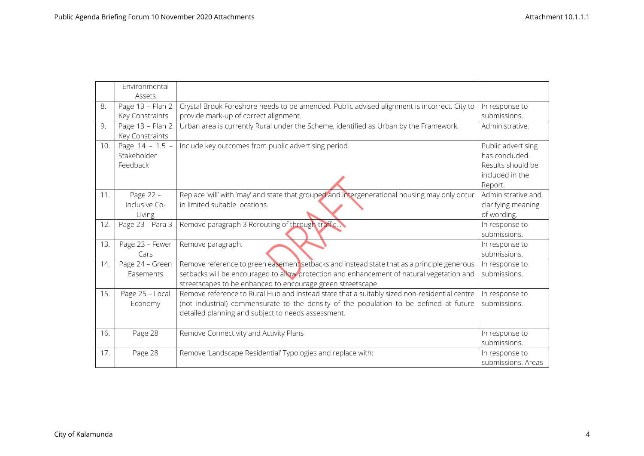|     | Environmental    |                                                                                               |                    |
|-----|------------------|-----------------------------------------------------------------------------------------------|--------------------|
|     | Assets           |                                                                                               |                    |
| 8.  | Page 13 - Plan 2 | Crystal Brook Foreshore needs to be amended. Public advised alignment is incorrect. City to   | In response to     |
|     | Key Constraints  | provide mark-up of correct alignment.                                                         | submissions.       |
| 9.  | Page 13 - Plan 2 | Urban area is currently Rural under the Scheme, identified as Urban by the Framework.         | Administrative.    |
|     | Key Constraints  |                                                                                               |                    |
| 10. | Page 14 - 1.5 -  | Include key outcomes from public advertising period.                                          | Public advertising |
|     | Stakeholder      |                                                                                               | has concluded.     |
|     | Feedback         |                                                                                               | Results should be  |
|     |                  |                                                                                               | included in the    |
|     |                  |                                                                                               | Report.            |
| 11. | Page 22 -        | Replace 'will' with 'may' and state that grouped and intergenerational housing may only occur | Administrative and |
|     | Inclusive Co-    | in limited suitable locations.                                                                | clarifying meaning |
|     | Living           |                                                                                               | of wording.        |
| 12. | Page 23 - Para 3 | Remove paragraph 3 Rerouting of through-traffic                                               | In response to     |
|     |                  |                                                                                               | submissions.       |
| 13. | Page 23 - Fewer  | Remove paragraph.                                                                             | In response to     |
|     | Cars             |                                                                                               | submissions.       |
| 14. | Page 24 - Green  | Remove reference to green easement setbacks and instead state that as a principle generous    | In response to     |
|     | Easements        | setbacks will be encouraged to allow protection and enhancement of natural vegetation and     | submissions.       |
|     |                  | streetscapes to be enhanced to encourage green streetscape.                                   |                    |
| 15. | Page 25 - Local  | Remove reference to Rural Hub and instead state that a suitably sized non-residential centre  | In response to     |
|     | Economy          | (not industrial) commensurate to the density of the population to be defined at future        | submissions.       |
|     |                  | detailed planning and subject to needs assessment.                                            |                    |
|     |                  |                                                                                               |                    |
| 16. | Page 28          | Remove Connectivity and Activity Plans                                                        | In response to     |
|     |                  |                                                                                               | submissions.       |
| 17. | Page 28          | Remove 'Landscape Residential' Typologies and replace with:                                   | In response to     |
|     |                  |                                                                                               | submissions. Areas |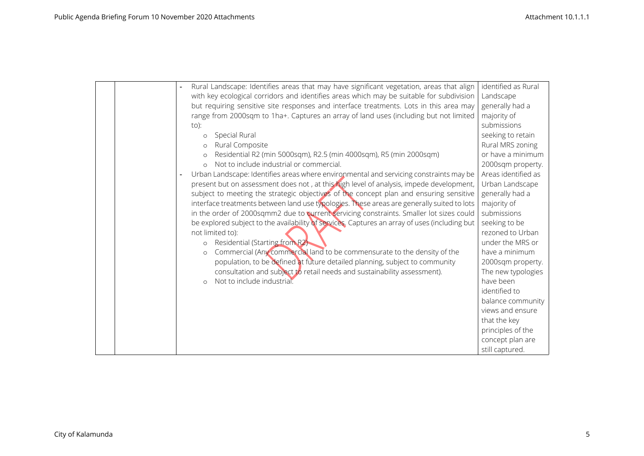|  | Rural Landscape: Identifies areas that may have significant vegetation, areas that align      | identified as Rural |
|--|-----------------------------------------------------------------------------------------------|---------------------|
|  | with key ecological corridors and identifies areas which may be suitable for subdivision      | Landscape           |
|  | but requiring sensitive site responses and interface treatments. Lots in this area may        | generally had a     |
|  | range from 2000sqm to 1ha+. Captures an array of land uses (including but not limited         | majority of         |
|  | $to$ :                                                                                        | submissions         |
|  | Special Rural<br>$\circ$                                                                      | seeking to retain   |
|  | Rural Composite<br>$\circ$                                                                    | Rural MRS zoning    |
|  | Residential R2 (min 5000sqm), R2.5 (min 4000sqm), R5 (min 2000sqm)<br>$\circ$                 | or have a minimum   |
|  | Not to include industrial or commercial.<br>$\Omega$                                          | 2000sqm property.   |
|  | Urban Landscape: Identifies areas where environmental and servicing constraints may be        | Areas identified as |
|  | present but on assessment does not, at this high level of analysis, impede development,       | Urban Landscape     |
|  | subject to meeting the strategic objectives of the concept plan and ensuring sensitive        | generally had a     |
|  | interface treatments between land use typologies. These areas are generally suited to lots    | majority of         |
|  | in the order of 2000sqmm2 due to current servicing constraints. Smaller lot sizes could       | submissions         |
|  | be explored subject to the availability of services. Captures an array of uses (including but | seeking to be       |
|  | not limited to):                                                                              | rezoned to Urban    |
|  | Residential (Starting from R2)<br>$\circ$                                                     | under the MRS or    |
|  | Commercial (Any commercial land to be commensurate to the density of the<br>$\circ$           | have a minimum      |
|  | population, to be defined at future detailed planning, subject to community                   | 2000sqm property.   |
|  | consultation and subject to retail needs and sustainability assessment).                      | The new typologies  |
|  | Not to include industrial.<br>$\circ$                                                         | have been           |
|  |                                                                                               | identified to       |
|  |                                                                                               | balance community   |
|  |                                                                                               | views and ensure    |
|  |                                                                                               | that the key        |
|  |                                                                                               | principles of the   |
|  |                                                                                               | concept plan are    |
|  |                                                                                               | still captured.     |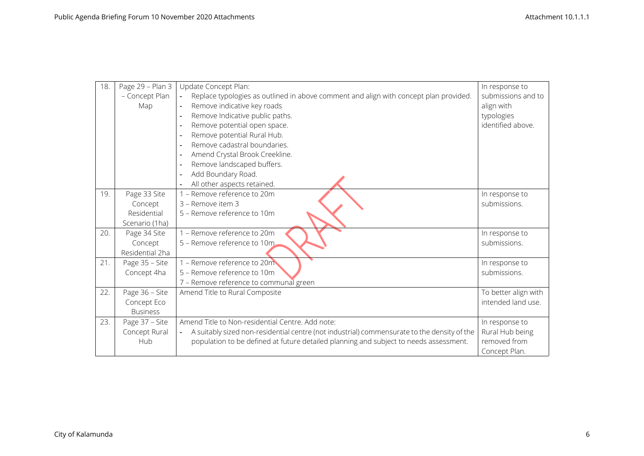| 18. | Page 29 - Plan 3 | Update Concept Plan:                                                                                          | In response to       |
|-----|------------------|---------------------------------------------------------------------------------------------------------------|----------------------|
|     | - Concept Plan   | Replace typologies as outlined in above comment and align with concept plan provided.<br>$\blacksquare$       | submissions and to   |
|     | Map              | Remove indicative key roads<br>$\blacksquare$                                                                 | align with           |
|     |                  | Remove Indicative public paths.<br>$\overline{\phantom{a}}$                                                   | typologies           |
|     |                  | Remove potential open space.                                                                                  | identified above.    |
|     |                  | Remove potential Rural Hub.<br>$\blacksquare$                                                                 |                      |
|     |                  | Remove cadastral boundaries.<br>$\overline{\phantom{a}}$                                                      |                      |
|     |                  | Amend Crystal Brook Creekline.<br>$\overline{a}$                                                              |                      |
|     |                  | Remove landscaped buffers.                                                                                    |                      |
|     |                  | Add Boundary Road.                                                                                            |                      |
|     |                  | All other aspects retained.                                                                                   |                      |
| 19. | Page 33 Site     | 1 - Remove reference to 20m                                                                                   | In response to       |
|     | Concept          | 3 - Remove item 3                                                                                             | submissions.         |
|     | Residential      | 5 - Remove reference to 10m                                                                                   |                      |
|     | Scenario (1ha)   |                                                                                                               |                      |
| 20. | Page 34 Site     | 1 - Remove reference to 20m                                                                                   | In response to       |
|     | Concept          | 5 - Remove reference to 10m                                                                                   | submissions.         |
|     | Residential 2ha  |                                                                                                               |                      |
| 21. | Page 35 - Site   | 1 - Remove reference to 20m                                                                                   | In response to       |
|     | Concept 4ha      | 5 - Remove reference to 10m                                                                                   | submissions.         |
|     |                  | 7 - Remove reference to communal green                                                                        |                      |
| 22. | Page 36 - Site   | Amend Title to Rural Composite                                                                                | To better align with |
|     | Concept Eco      |                                                                                                               | intended land use.   |
|     | <b>Business</b>  |                                                                                                               |                      |
| 23. | Page 37 - Site   | Amend Title to Non-residential Centre. Add note:                                                              | In response to       |
|     | Concept Rural    | A suitably sized non-residential centre (not industrial) commensurate to the density of the<br>$\blacksquare$ | Rural Hub being      |
|     | Hub              | population to be defined at future detailed planning and subject to needs assessment.                         | removed from         |
|     |                  |                                                                                                               | Concept Plan.        |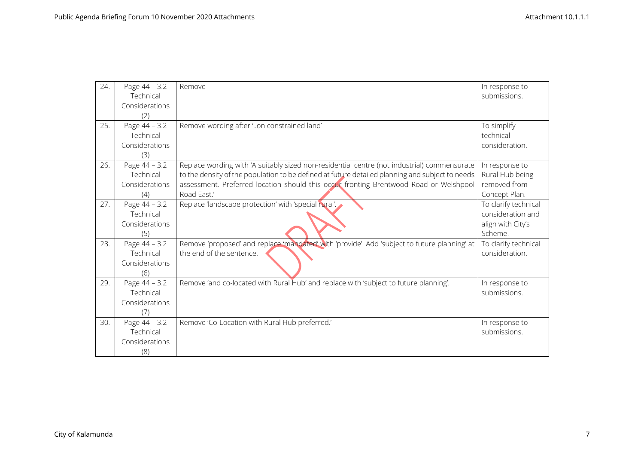| 24. | Page 44 - 3.2<br>Technical                          | Remove                                                                                                                                                                                                                                                                                                 | In response to<br>submissions.                                            |
|-----|-----------------------------------------------------|--------------------------------------------------------------------------------------------------------------------------------------------------------------------------------------------------------------------------------------------------------------------------------------------------------|---------------------------------------------------------------------------|
|     | Considerations<br>(2)                               |                                                                                                                                                                                                                                                                                                        |                                                                           |
| 25. | Page 44 - 3.2<br>Technical<br>Considerations<br>(3) | Remove wording after 'on constrained land'                                                                                                                                                                                                                                                             | To simplify<br>technical<br>consideration.                                |
| 26. | Page 44 - 3.2<br>Technical<br>Considerations<br>(4) | Replace wording with 'A suitably sized non-residential centre (not industrial) commensurate<br>to the density of the population to be defined at future detailed planning and subject to needs<br>assessment. Preferred location should this occur fronting Brentwood Road or Welshpool<br>Road East.' | In response to<br>Rural Hub being<br>removed from<br>Concept Plan.        |
| 27. | Page 44 - 3.2<br>Technical<br>Considerations<br>(5) | Replace 'landscape protection' with 'special rural'.                                                                                                                                                                                                                                                   | To clarify technical<br>consideration and<br>align with City's<br>Scheme. |
| 28. | Page 44 - 3.2<br>Technical<br>Considerations<br>(6) | Remove 'proposed' and replace 'mandated' with 'provide'. Add 'subject to future planning' at<br>the end of the sentence.                                                                                                                                                                               | To clarify technical<br>consideration.                                    |
| 29. | Page 44 - 3.2<br>Technical<br>Considerations<br>(7) | Remove 'and co-located with Rural Hub' and replace with 'subject to future planning'.                                                                                                                                                                                                                  | In response to<br>submissions.                                            |
| 30. | Page 44 - 3.2<br>Technical<br>Considerations<br>(8) | Remove 'Co-Location with Rural Hub preferred.'                                                                                                                                                                                                                                                         | In response to<br>submissions.                                            |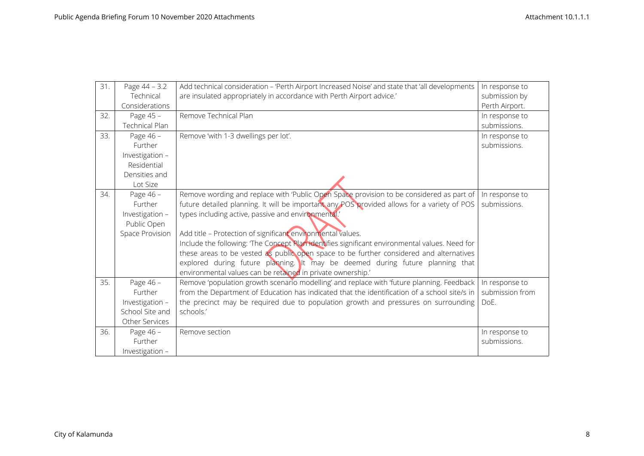| 31. | Page 44 - 3.2   | Add technical consideration - 'Perth Airport Increased Noise' and state that 'all developments | In response to  |
|-----|-----------------|------------------------------------------------------------------------------------------------|-----------------|
|     | Technical       | are insulated appropriately in accordance with Perth Airport advice.'                          | submission by   |
|     | Considerations  |                                                                                                | Perth Airport.  |
| 32. | Page 45 -       | Remove Technical Plan                                                                          | In response to  |
|     | Technical Plan  |                                                                                                | submissions.    |
| 33. | Page 46 -       | Remove 'with 1-3 dwellings per lot'.                                                           | In response to  |
|     | Further         |                                                                                                | submissions.    |
|     | Investigation - |                                                                                                |                 |
|     | Residential     |                                                                                                |                 |
|     | Densities and   |                                                                                                |                 |
|     | Lot Size        |                                                                                                |                 |
| 34. | Page 46 -       | Remove wording and replace with 'Public Open Space provision to be considered as part of       | In response to  |
|     | Further         | future detailed planning. It will be important any POS provided allows for a variety of POS    | submissions.    |
|     | Investigation - | types including active, passive and environmental.                                             |                 |
|     | Public Open     |                                                                                                |                 |
|     | Space Provision | Add title - Protection of significant environmental values.                                    |                 |
|     |                 | Include the following: The Concept Plan identifies significant environmental values. Need for  |                 |
|     |                 | these areas to be vested as public open space to be further considered and alternatives        |                 |
|     |                 | explored during future planning. It may be deemed during future planning that                  |                 |
|     |                 | environmental values can be retained in private ownership.'                                    |                 |
| 35. | Page 46 -       | Remove 'population growth scenario modelling' and replace with 'future planning. Feedback      | In response to  |
|     | Further         | from the Department of Education has indicated that the identification of a school site/s in   | submission from |
|     | Investigation - | the precinct may be required due to population growth and pressures on surrounding             | DoE.            |
|     | School Site and | schools.'                                                                                      |                 |
|     | Other Services  |                                                                                                |                 |
| 36. | Page 46 -       | Remove section                                                                                 | In response to  |
|     | Further         |                                                                                                | submissions.    |
|     | Investigation - |                                                                                                |                 |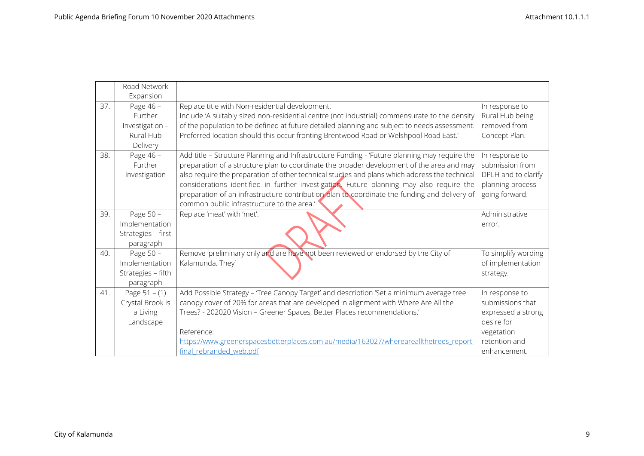|     | Road Network<br>Expansion                                        |                                                                                                                                                                                                                                                                                                                                                                                                                                                                                                                                      |                                                                                                                       |
|-----|------------------------------------------------------------------|--------------------------------------------------------------------------------------------------------------------------------------------------------------------------------------------------------------------------------------------------------------------------------------------------------------------------------------------------------------------------------------------------------------------------------------------------------------------------------------------------------------------------------------|-----------------------------------------------------------------------------------------------------------------------|
| 37. | Page 46 -<br>Further<br>Investigation -<br>Rural Hub<br>Delivery | Replace title with Non-residential development.<br>Include 'A suitably sized non-residential centre (not industrial) commensurate to the density<br>of the population to be defined at future detailed planning and subject to needs assessment.<br>Preferred location should this occur fronting Brentwood Road or Welshpool Road East.'                                                                                                                                                                                            | In response to<br>Rural Hub being<br>removed from<br>Concept Plan.                                                    |
| 38. | Page 46 -<br>Further<br>Investigation                            | Add title - Structure Planning and Infrastructure Funding - 'Future planning may require the<br>preparation of a structure plan to coordinate the broader development of the area and may<br>also require the preparation of other technical studies and plans which address the technical<br>considerations identified in further investigation. Future planning may also require the<br>preparation of an infrastructure contribution plan to coordinate the funding and delivery of<br>common public infrastructure to the area.' | In response to<br>submission from<br>DPLH and to clarify<br>planning process<br>going forward.                        |
| 39. | Page 50 -<br>Implementation<br>Strategies - first<br>paragraph   | Replace 'meat' with 'met'.                                                                                                                                                                                                                                                                                                                                                                                                                                                                                                           | Administrative<br>error.                                                                                              |
| 40. | Page 50 -<br>Implementation<br>Strategies - fifth<br>paragraph   | Remove 'preliminary only and are have not been reviewed or endorsed by the City of<br>Kalamunda. They'                                                                                                                                                                                                                                                                                                                                                                                                                               | To simplify wording<br>of implementation<br>strategy.                                                                 |
| 41. | Page $51 - (1)$<br>Crystal Brook is<br>a Living<br>Landscape     | Add Possible Strategy - Tree Canopy Target' and description 'Set a minimum average tree<br>canopy cover of 20% for areas that are developed in alignment with Where Are All the<br>Trees? - 202020 Vision - Greener Spaces, Better Places recommendations.'<br>Reference:<br>https://www.greenerspacesbetterplaces.com.au/media/163027/whereareallthetrees report-<br>final rebranded web.pdf                                                                                                                                        | In response to<br>submissions that<br>expressed a strong<br>desire for<br>vegetation<br>retention and<br>enhancement. |